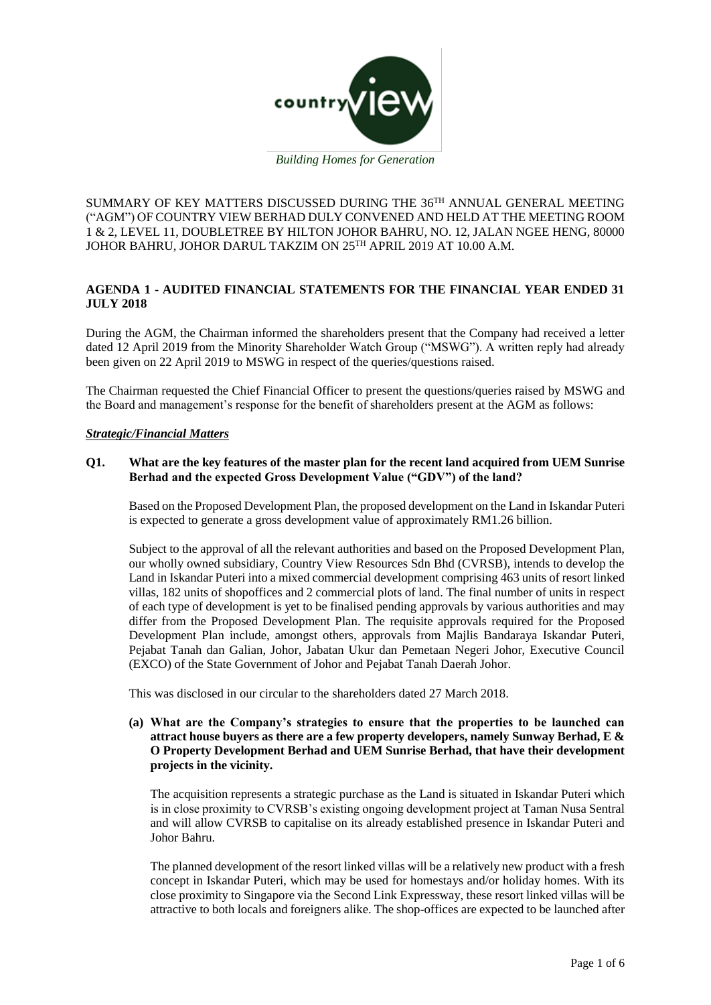

*Building Homes for Generation*

SUMMARY OF KEY MATTERS DISCUSSED DURING THE  $36^{\text{TH}}$  ANNUAL GENERAL MEETING ("AGM") OF COUNTRY VIEW BERHAD DULY CONVENED AND HELD AT THE MEETING ROOM 1 & 2, LEVEL 11, DOUBLETREE BY HILTON JOHOR BAHRU, NO. 12, JALAN NGEE HENG, 80000 JOHOR BAHRU, JOHOR DARUL TAKZIM ON 25TH APRIL 2019 AT 10.00 A.M.

# **AGENDA 1 - AUDITED FINANCIAL STATEMENTS FOR THE FINANCIAL YEAR ENDED 31 JULY 2018**

During the AGM, the Chairman informed the shareholders present that the Company had received a letter dated 12 April 2019 from the Minority Shareholder Watch Group ("MSWG"). A written reply had already been given on 22 April 2019 to MSWG in respect of the queries/questions raised.

The Chairman requested the Chief Financial Officer to present the questions/queries raised by MSWG and the Board and management's response for the benefit of shareholders present at the AGM as follows:

## *Strategic/Financial Matters*

## **Q1. What are the key features of the master plan for the recent land acquired from UEM Sunrise Berhad and the expected Gross Development Value ("GDV") of the land?**

Based on the Proposed Development Plan, the proposed development on the Land in Iskandar Puteri is expected to generate a gross development value of approximately RM1.26 billion.

Subject to the approval of all the relevant authorities and based on the Proposed Development Plan, our wholly owned subsidiary, Country View Resources Sdn Bhd (CVRSB), intends to develop the Land in Iskandar Puteri into a mixed commercial development comprising 463 units of resort linked villas, 182 units of shopoffices and 2 commercial plots of land. The final number of units in respect of each type of development is yet to be finalised pending approvals by various authorities and may differ from the Proposed Development Plan. The requisite approvals required for the Proposed Development Plan include, amongst others, approvals from Majlis Bandaraya Iskandar Puteri, Pejabat Tanah dan Galian, Johor, Jabatan Ukur dan Pemetaan Negeri Johor, Executive Council (EXCO) of the State Government of Johor and Pejabat Tanah Daerah Johor.

This was disclosed in our circular to the shareholders dated 27 March 2018.

**(a) What are the Company's strategies to ensure that the properties to be launched can attract house buyers as there are a few property developers, namely Sunway Berhad, E & O Property Development Berhad and UEM Sunrise Berhad, that have their development projects in the vicinity.**

The acquisition represents a strategic purchase as the Land is situated in Iskandar Puteri which is in close proximity to CVRSB's existing ongoing development project at Taman Nusa Sentral and will allow CVRSB to capitalise on its already established presence in Iskandar Puteri and Johor Bahru.

The planned development of the resort linked villas will be a relatively new product with a fresh concept in Iskandar Puteri, which may be used for homestays and/or holiday homes. With its close proximity to Singapore via the Second Link Expressway, these resort linked villas will be attractive to both locals and foreigners alike. The shop-offices are expected to be launched after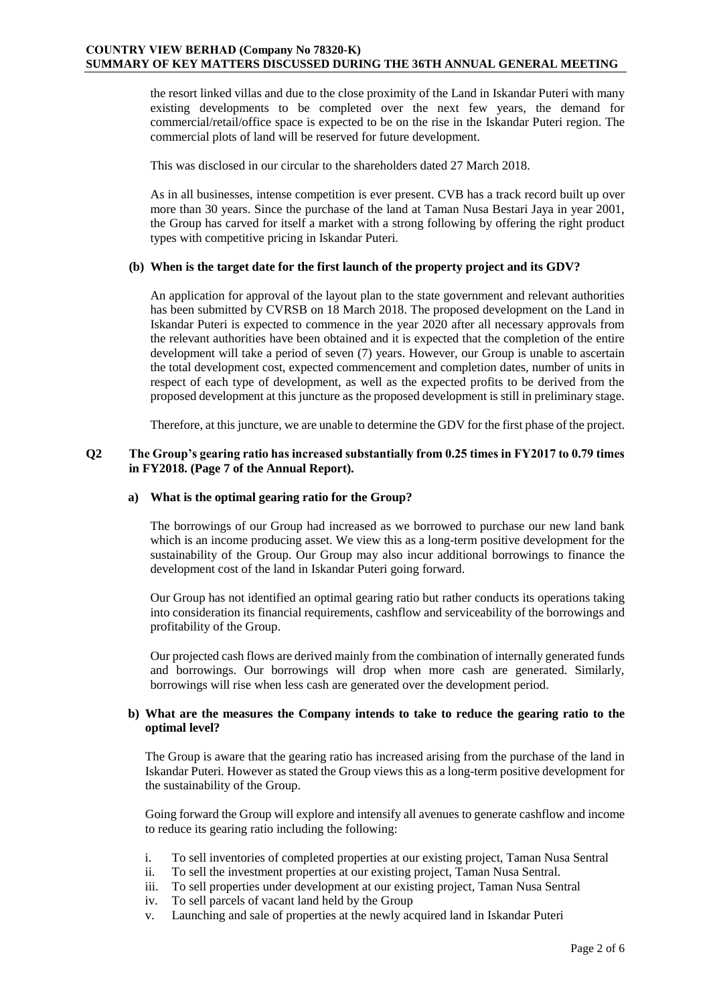the resort linked villas and due to the close proximity of the Land in Iskandar Puteri with many existing developments to be completed over the next few years, the demand for commercial/retail/office space is expected to be on the rise in the Iskandar Puteri region. The commercial plots of land will be reserved for future development.

This was disclosed in our circular to the shareholders dated 27 March 2018.

As in all businesses, intense competition is ever present. CVB has a track record built up over more than 30 years. Since the purchase of the land at Taman Nusa Bestari Jaya in year 2001, the Group has carved for itself a market with a strong following by offering the right product types with competitive pricing in Iskandar Puteri.

## **(b) When is the target date for the first launch of the property project and its GDV?**

An application for approval of the layout plan to the state government and relevant authorities has been submitted by CVRSB on 18 March 2018. The proposed development on the Land in Iskandar Puteri is expected to commence in the year 2020 after all necessary approvals from the relevant authorities have been obtained and it is expected that the completion of the entire development will take a period of seven (7) years. However, our Group is unable to ascertain the total development cost, expected commencement and completion dates, number of units in respect of each type of development, as well as the expected profits to be derived from the proposed development at this juncture as the proposed development is still in preliminary stage.

Therefore, at this juncture, we are unable to determine the GDV for the first phase of the project.

## **Q2 The Group's gearing ratio has increased substantially from 0.25 times in FY2017 to 0.79 times in FY2018. (Page 7 of the Annual Report).**

### **a) What is the optimal gearing ratio for the Group?**

The borrowings of our Group had increased as we borrowed to purchase our new land bank which is an income producing asset. We view this as a long-term positive development for the sustainability of the Group. Our Group may also incur additional borrowings to finance the development cost of the land in Iskandar Puteri going forward.

Our Group has not identified an optimal gearing ratio but rather conducts its operations taking into consideration its financial requirements, cashflow and serviceability of the borrowings and profitability of the Group.

Our projected cash flows are derived mainly from the combination of internally generated funds and borrowings. Our borrowings will drop when more cash are generated. Similarly, borrowings will rise when less cash are generated over the development period.

## **b) What are the measures the Company intends to take to reduce the gearing ratio to the optimal level?**

The Group is aware that the gearing ratio has increased arising from the purchase of the land in Iskandar Puteri. However as stated the Group views this as a long-term positive development for the sustainability of the Group.

Going forward the Group will explore and intensify all avenues to generate cashflow and income to reduce its gearing ratio including the following:

- i. To sell inventories of completed properties at our existing project, Taman Nusa Sentral
- ii. To sell the investment properties at our existing project, Taman Nusa Sentral.
- iii. To sell properties under development at our existing project, Taman Nusa Sentral
- iv. To sell parcels of vacant land held by the Group
- v. Launching and sale of properties at the newly acquired land in Iskandar Puteri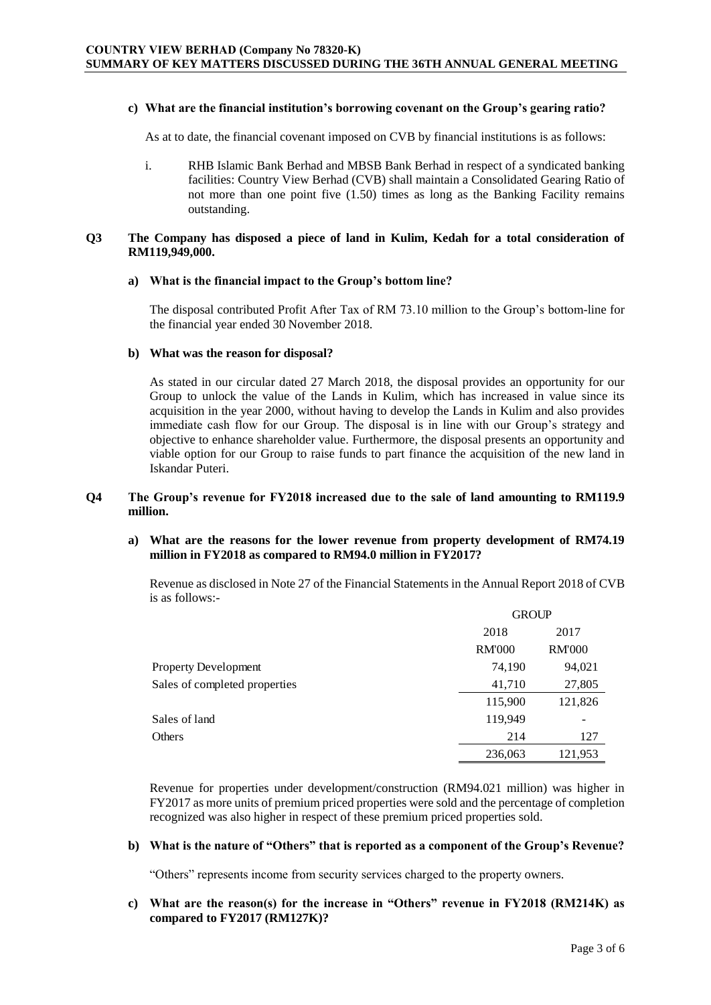#### **c) What are the financial institution's borrowing covenant on the Group's gearing ratio?**

As at to date, the financial covenant imposed on CVB by financial institutions is as follows:

i. RHB Islamic Bank Berhad and MBSB Bank Berhad in respect of a syndicated banking facilities: Country View Berhad (CVB) shall maintain a Consolidated Gearing Ratio of not more than one point five (1.50) times as long as the Banking Facility remains outstanding.

#### **Q3 The Company has disposed a piece of land in Kulim, Kedah for a total consideration of RM119,949,000.**

#### **a) What is the financial impact to the Group's bottom line?**

The disposal contributed Profit After Tax of RM 73.10 million to the Group's bottom-line for the financial year ended 30 November 2018.

#### **b) What was the reason for disposal?**

As stated in our circular dated 27 March 2018, the disposal provides an opportunity for our Group to unlock the value of the Lands in Kulim, which has increased in value since its acquisition in the year 2000, without having to develop the Lands in Kulim and also provides immediate cash flow for our Group. The disposal is in line with our Group's strategy and objective to enhance shareholder value. Furthermore, the disposal presents an opportunity and viable option for our Group to raise funds to part finance the acquisition of the new land in Iskandar Puteri.

## **Q4 The Group's revenue for FY2018 increased due to the sale of land amounting to RM119.9 million.**

### **a) What are the reasons for the lower revenue from property development of RM74.19 million in FY2018 as compared to RM94.0 million in FY2017?**

Revenue as disclosed in Note 27 of the Financial Statements in the Annual Report 2018 of CVB is as follows:-

|                               | <b>GROUP</b>  |               |
|-------------------------------|---------------|---------------|
|                               | 2018          | 2017          |
|                               | <b>RM'000</b> | <b>RM'000</b> |
| <b>Property Development</b>   | 74,190        | 94,021        |
| Sales of completed properties | 41,710        | 27,805        |
|                               | 115,900       | 121,826       |
| Sales of land                 | 119,949       |               |
| Others                        | 214           | 127           |
|                               | 236,063       | 121,953       |

Revenue for properties under development/construction (RM94.021 million) was higher in FY2017 as more units of premium priced properties were sold and the percentage of completion recognized was also higher in respect of these premium priced properties sold.

# **b) What is the nature of "Others" that is reported as a component of the Group's Revenue?**

"Others" represents income from security services charged to the property owners.

## **c) What are the reason(s) for the increase in "Others" revenue in FY2018 (RM214K) as compared to FY2017 (RM127K)?**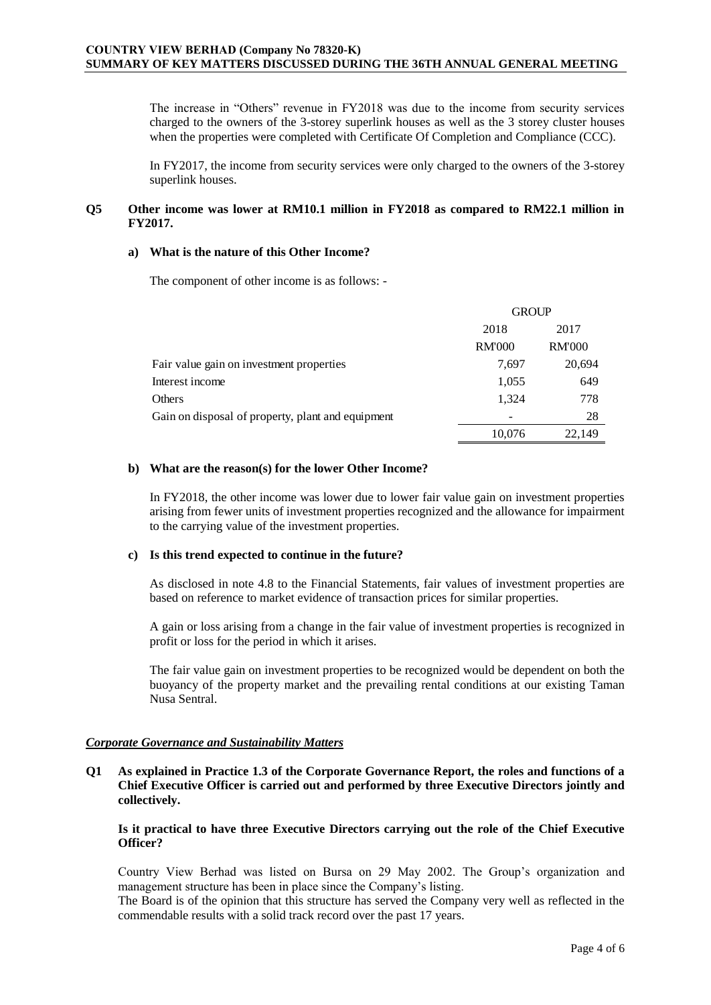The increase in "Others" revenue in FY2018 was due to the income from security services charged to the owners of the 3-storey superlink houses as well as the 3 storey cluster houses when the properties were completed with Certificate Of Completion and Compliance (CCC).

In FY2017, the income from security services were only charged to the owners of the 3-storey superlink houses.

## **Q5 Other income was lower at RM10.1 million in FY2018 as compared to RM22.1 million in FY2017.**

### **a) What is the nature of this Other Income?**

The component of other income is as follows: -

|                                                   | <b>GROUP</b>  |               |
|---------------------------------------------------|---------------|---------------|
|                                                   | 2018          | 2017          |
|                                                   | <b>RM'000</b> | <b>RM'000</b> |
| Fair value gain on investment properties          | 7.697         | 20,694        |
| Interest income                                   | 1,055         | 649           |
| Others                                            | 1,324         | 778           |
| Gain on disposal of property, plant and equipment |               | 28            |
|                                                   | 10,076        | 22,149        |

#### **b) What are the reason(s) for the lower Other Income?**

In FY2018, the other income was lower due to lower fair value gain on investment properties arising from fewer units of investment properties recognized and the allowance for impairment to the carrying value of the investment properties.

### **c) Is this trend expected to continue in the future?**

As disclosed in note 4.8 to the Financial Statements, fair values of investment properties are based on reference to market evidence of transaction prices for similar properties.

A gain or loss arising from a change in the fair value of investment properties is recognized in profit or loss for the period in which it arises.

The fair value gain on investment properties to be recognized would be dependent on both the buoyancy of the property market and the prevailing rental conditions at our existing Taman Nusa Sentral.

### *Corporate Governance and Sustainability Matters*

**Q1 As explained in Practice 1.3 of the Corporate Governance Report, the roles and functions of a Chief Executive Officer is carried out and performed by three Executive Directors jointly and collectively.**

## **Is it practical to have three Executive Directors carrying out the role of the Chief Executive Officer?**

Country View Berhad was listed on Bursa on 29 May 2002. The Group's organization and management structure has been in place since the Company's listing.

The Board is of the opinion that this structure has served the Company very well as reflected in the commendable results with a solid track record over the past 17 years.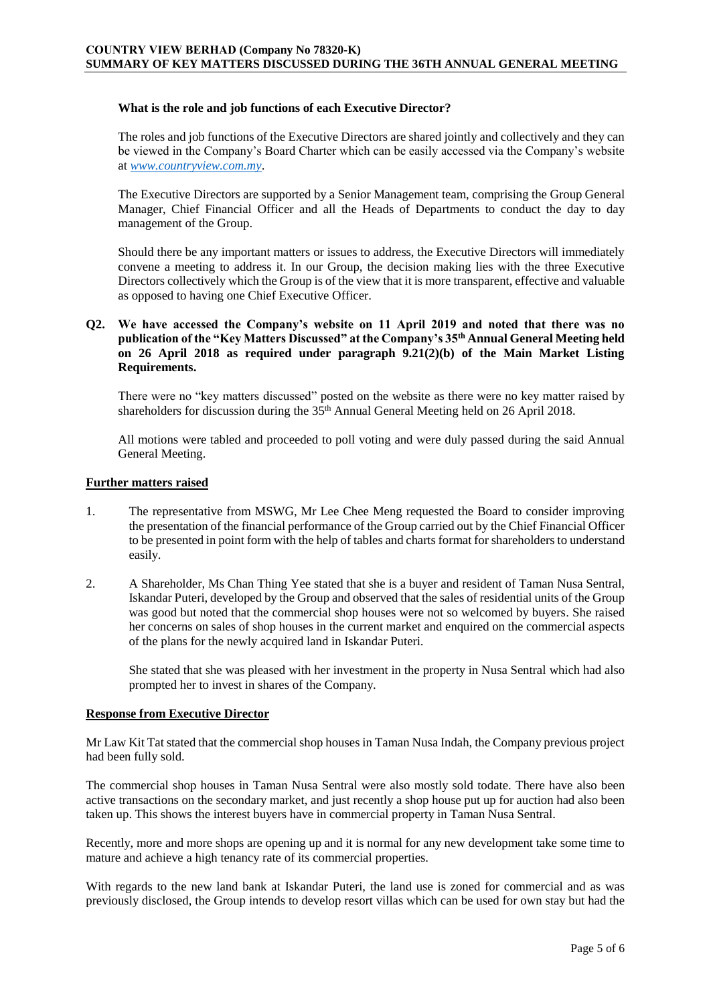## **What is the role and job functions of each Executive Director?**

The roles and job functions of the Executive Directors are shared jointly and collectively and they can be viewed in the Company's Board Charter which can be easily accessed via the Company's website at *[www.countryview.com.my](http://www.countryview.com.my/)*.

The Executive Directors are supported by a Senior Management team, comprising the Group General Manager, Chief Financial Officer and all the Heads of Departments to conduct the day to day management of the Group.

Should there be any important matters or issues to address, the Executive Directors will immediately convene a meeting to address it. In our Group, the decision making lies with the three Executive Directors collectively which the Group is of the view that it is more transparent, effective and valuable as opposed to having one Chief Executive Officer.

## **Q2. We have accessed the Company's website on 11 April 2019 and noted that there was no publication of the "Key Matters Discussed" at the Company's 35th Annual General Meeting held on 26 April 2018 as required under paragraph 9.21(2)(b) of the Main Market Listing Requirements.**

There were no "key matters discussed" posted on the website as there were no key matter raised by shareholders for discussion during the 35<sup>th</sup> Annual General Meeting held on 26 April 2018.

All motions were tabled and proceeded to poll voting and were duly passed during the said Annual General Meeting.

### **Further matters raised**

- 1. The representative from MSWG, Mr Lee Chee Meng requested the Board to consider improving the presentation of the financial performance of the Group carried out by the Chief Financial Officer to be presented in point form with the help of tables and charts format for shareholders to understand easily.
- 2. A Shareholder, Ms Chan Thing Yee stated that she is a buyer and resident of Taman Nusa Sentral, Iskandar Puteri, developed by the Group and observed that the sales of residential units of the Group was good but noted that the commercial shop houses were not so welcomed by buyers. She raised her concerns on sales of shop houses in the current market and enquired on the commercial aspects of the plans for the newly acquired land in Iskandar Puteri.

She stated that she was pleased with her investment in the property in Nusa Sentral which had also prompted her to invest in shares of the Company.

### **Response from Executive Director**

Mr Law Kit Tat stated that the commercial shop houses in Taman Nusa Indah, the Company previous project had been fully sold.

The commercial shop houses in Taman Nusa Sentral were also mostly sold todate. There have also been active transactions on the secondary market, and just recently a shop house put up for auction had also been taken up. This shows the interest buyers have in commercial property in Taman Nusa Sentral.

Recently, more and more shops are opening up and it is normal for any new development take some time to mature and achieve a high tenancy rate of its commercial properties.

With regards to the new land bank at Iskandar Puteri, the land use is zoned for commercial and as was previously disclosed, the Group intends to develop resort villas which can be used for own stay but had the